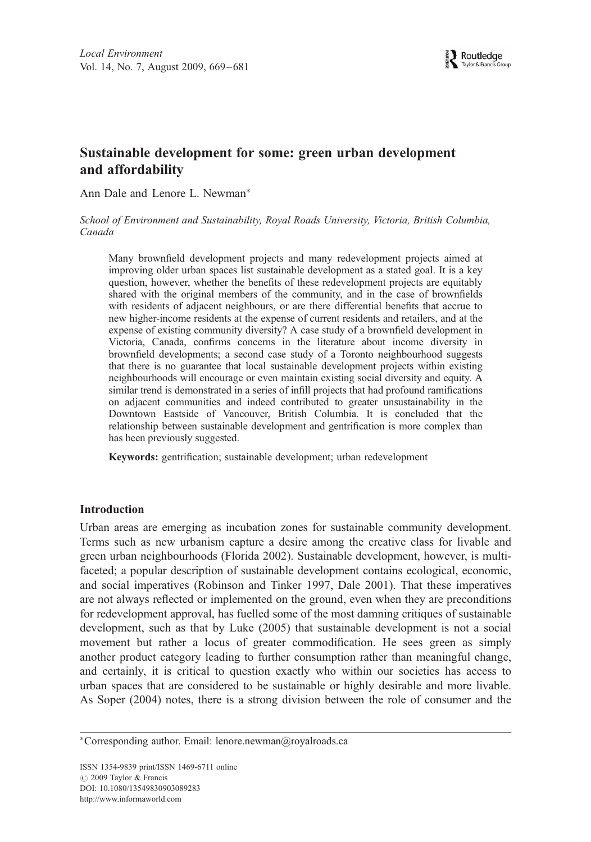# Sustainable development for some: green urban development and affordability

Ann Dale and Lenore L. Newman

School of Environment and Sustainability, Royal Roads University, Victoria, British Columbia, Canada

Many brownfield development projects and many redevelopment projects aimed at improving older urban spaces list sustainable development as a stated goal. It is a key question, however, whether the benefits of these redevelopment projects are equitably shared with the original members of the community, and in the case of brownfields with residents of adjacent neighbours, or are there differential benefits that accrue to new higher-income residents at the expense of current residents and retailers, and at the expense of existing community diversity? A case study of a brownfield development in Victoria, Canada, confirms concerns in the literature about income diversity in brownfield developments; a second case study of a Toronto neighbourhood suggests that there is no guarantee that local sustainable development projects within existing neighbourhoods will encourage or even maintain existing social diversity and equity. A similar trend is demonstrated in a series of infill projects that had profound ramifications on adjacent communities and indeed contributed to greater unsustainability in the Downtown Eastside of Vancouver, British Columbia. It is concluded that the relationship between sustainable development and gentrification is more complex than has been previously suggested.

Keywords: gentrification; sustainable development; urban redevelopment

## Introduction

Urban areas are emerging as incubation zones for sustainable community development. Terms such as new urbanism capture a desire among the creative class for livable and green urban neighbourhoods (Florida 2002). Sustainable development, however, is multifaceted; a popular description of sustainable development contains ecological, economic, and social imperatives (Robinson and Tinker 1997, Dale 2001). That these imperatives are not always reflected or implemented on the ground, even when they are preconditions for redevelopment approval, has fuelled some of the most damning critiques of sustainable development, such as that by Luke (2005) that sustainable development is not a social movement but rather a locus of greater commodification. He sees green as simply another product category leading to further consumption rather than meaningful change, and certainly, it is critical to question exactly who within our societies has access to urban spaces that are considered to be sustainable or highly desirable and more livable. As Soper (2004) notes, there is a strong division between the role of consumer and the

Corresponding author. Email: lenore.newman@royalroads.ca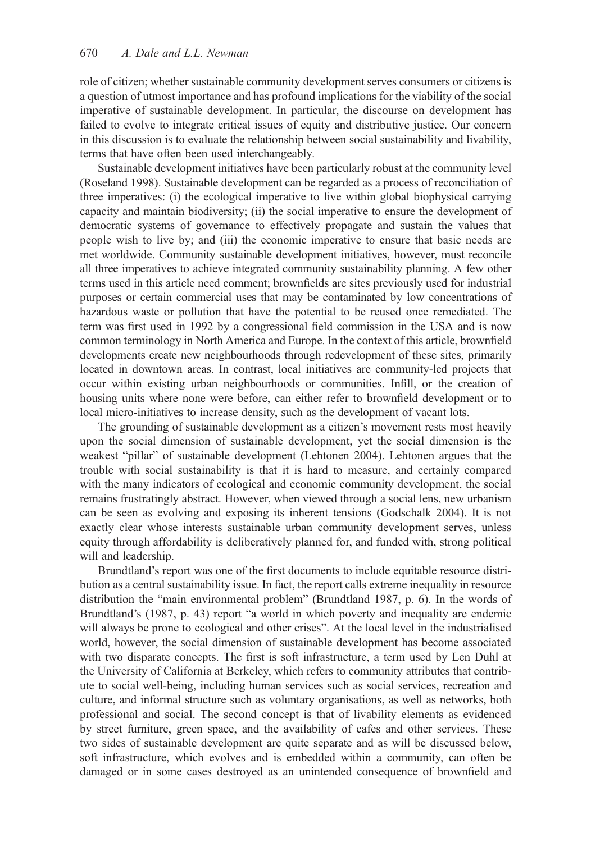role of citizen; whether sustainable community development serves consumers or citizens is a question of utmost importance and has profound implications for the viability of the social imperative of sustainable development. In particular, the discourse on development has failed to evolve to integrate critical issues of equity and distributive justice. Our concern in this discussion is to evaluate the relationship between social sustainability and livability, terms that have often been used interchangeably.

Sustainable development initiatives have been particularly robust at the community level (Roseland 1998). Sustainable development can be regarded as a process of reconciliation of three imperatives: (i) the ecological imperative to live within global biophysical carrying capacity and maintain biodiversity; (ii) the social imperative to ensure the development of democratic systems of governance to effectively propagate and sustain the values that people wish to live by; and (iii) the economic imperative to ensure that basic needs are met worldwide. Community sustainable development initiatives, however, must reconcile all three imperatives to achieve integrated community sustainability planning. A few other terms used in this article need comment; brownfields are sites previously used for industrial purposes or certain commercial uses that may be contaminated by low concentrations of hazardous waste or pollution that have the potential to be reused once remediated. The term was first used in 1992 by a congressional field commission in the USA and is now common terminology in North America and Europe. In the context of this article, brownfield developments create new neighbourhoods through redevelopment of these sites, primarily located in downtown areas. In contrast, local initiatives are community-led projects that occur within existing urban neighbourhoods or communities. Infill, or the creation of housing units where none were before, can either refer to brownfield development or to local micro-initiatives to increase density, such as the development of vacant lots.

The grounding of sustainable development as a citizen's movement rests most heavily upon the social dimension of sustainable development, yet the social dimension is the weakest "pillar" of sustainable development (Lehtonen 2004). Lehtonen argues that the trouble with social sustainability is that it is hard to measure, and certainly compared with the many indicators of ecological and economic community development, the social remains frustratingly abstract. However, when viewed through a social lens, new urbanism can be seen as evolving and exposing its inherent tensions (Godschalk 2004). It is not exactly clear whose interests sustainable urban community development serves, unless equity through affordability is deliberatively planned for, and funded with, strong political will and leadership.

Brundtland's report was one of the first documents to include equitable resource distribution as a central sustainability issue. In fact, the report calls extreme inequality in resource distribution the "main environmental problem" (Brundtland 1987, p. 6). In the words of Brundtland's (1987, p. 43) report "a world in which poverty and inequality are endemic will always be prone to ecological and other crises". At the local level in the industrialised world, however, the social dimension of sustainable development has become associated with two disparate concepts. The first is soft infrastructure, a term used by Len Duhl at the University of California at Berkeley, which refers to community attributes that contribute to social well-being, including human services such as social services, recreation and culture, and informal structure such as voluntary organisations, as well as networks, both professional and social. The second concept is that of livability elements as evidenced by street furniture, green space, and the availability of cafes and other services. These two sides of sustainable development are quite separate and as will be discussed below, soft infrastructure, which evolves and is embedded within a community, can often be damaged or in some cases destroyed as an unintended consequence of brownfield and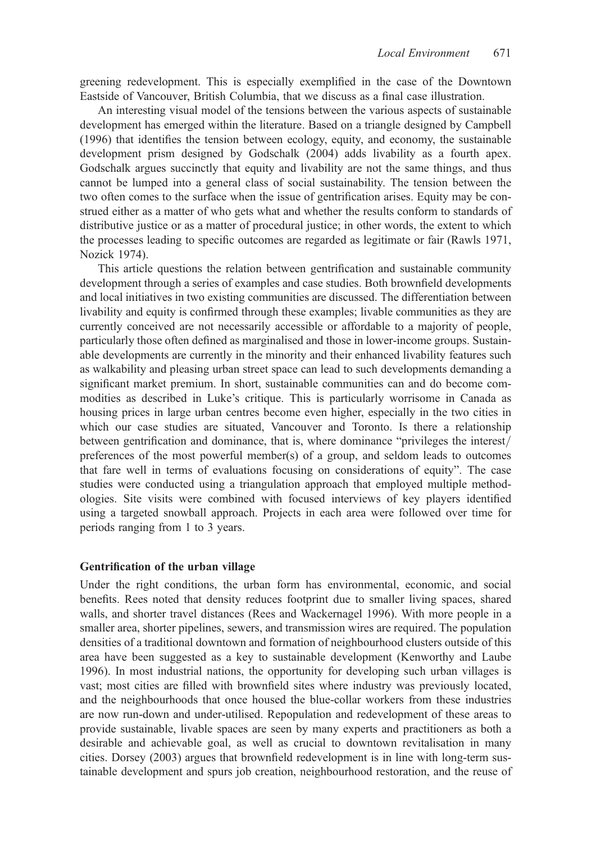greening redevelopment. This is especially exemplified in the case of the Downtown Eastside of Vancouver, British Columbia, that we discuss as a final case illustration.

An interesting visual model of the tensions between the various aspects of sustainable development has emerged within the literature. Based on a triangle designed by Campbell (1996) that identifies the tension between ecology, equity, and economy, the sustainable development prism designed by Godschalk (2004) adds livability as a fourth apex. Godschalk argues succinctly that equity and livability are not the same things, and thus cannot be lumped into a general class of social sustainability. The tension between the two often comes to the surface when the issue of gentrification arises. Equity may be construed either as a matter of who gets what and whether the results conform to standards of distributive justice or as a matter of procedural justice; in other words, the extent to which the processes leading to specific outcomes are regarded as legitimate or fair (Rawls 1971, Nozick 1974).

This article questions the relation between gentrification and sustainable community development through a series of examples and case studies. Both brownfield developments and local initiatives in two existing communities are discussed. The differentiation between livability and equity is confirmed through these examples; livable communities as they are currently conceived are not necessarily accessible or affordable to a majority of people, particularly those often defined as marginalised and those in lower-income groups. Sustainable developments are currently in the minority and their enhanced livability features such as walkability and pleasing urban street space can lead to such developments demanding a significant market premium. In short, sustainable communities can and do become commodities as described in Luke's critique. This is particularly worrisome in Canada as housing prices in large urban centres become even higher, especially in the two cities in which our case studies are situated, Vancouver and Toronto. Is there a relationship between gentrification and dominance, that is, where dominance "privileges the interest/ preferences of the most powerful member(s) of a group, and seldom leads to outcomes that fare well in terms of evaluations focusing on considerations of equity". The case studies were conducted using a triangulation approach that employed multiple methodologies. Site visits were combined with focused interviews of key players identified using a targeted snowball approach. Projects in each area were followed over time for periods ranging from 1 to 3 years.

## Gentrification of the urban village

Under the right conditions, the urban form has environmental, economic, and social benefits. Rees noted that density reduces footprint due to smaller living spaces, shared walls, and shorter travel distances (Rees and Wackernagel 1996). With more people in a smaller area, shorter pipelines, sewers, and transmission wires are required. The population densities of a traditional downtown and formation of neighbourhood clusters outside of this area have been suggested as a key to sustainable development (Kenworthy and Laube 1996). In most industrial nations, the opportunity for developing such urban villages is vast; most cities are filled with brownfield sites where industry was previously located, and the neighbourhoods that once housed the blue-collar workers from these industries are now run-down and under-utilised. Repopulation and redevelopment of these areas to provide sustainable, livable spaces are seen by many experts and practitioners as both a desirable and achievable goal, as well as crucial to downtown revitalisation in many cities. Dorsey (2003) argues that brownfield redevelopment is in line with long-term sustainable development and spurs job creation, neighbourhood restoration, and the reuse of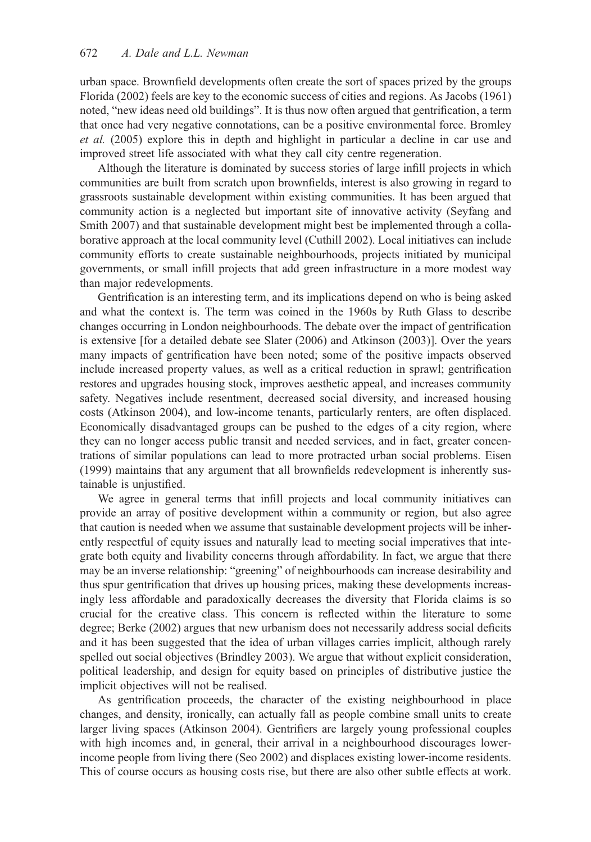urban space. Brownfield developments often create the sort of spaces prized by the groups Florida (2002) feels are key to the economic success of cities and regions. As Jacobs (1961) noted, "new ideas need old buildings". It is thus now often argued that gentrification, a term that once had very negative connotations, can be a positive environmental force. Bromley et al. (2005) explore this in depth and highlight in particular a decline in car use and improved street life associated with what they call city centre regeneration.

Although the literature is dominated by success stories of large infill projects in which communities are built from scratch upon brownfields, interest is also growing in regard to grassroots sustainable development within existing communities. It has been argued that community action is a neglected but important site of innovative activity (Seyfang and Smith 2007) and that sustainable development might best be implemented through a collaborative approach at the local community level (Cuthill 2002). Local initiatives can include community efforts to create sustainable neighbourhoods, projects initiated by municipal governments, or small infill projects that add green infrastructure in a more modest way than major redevelopments.

Gentrification is an interesting term, and its implications depend on who is being asked and what the context is. The term was coined in the 1960s by Ruth Glass to describe changes occurring in London neighbourhoods. The debate over the impact of gentrification is extensive [for a detailed debate see Slater (2006) and Atkinson (2003)]. Over the years many impacts of gentrification have been noted; some of the positive impacts observed include increased property values, as well as a critical reduction in sprawl; gentrification restores and upgrades housing stock, improves aesthetic appeal, and increases community safety. Negatives include resentment, decreased social diversity, and increased housing costs (Atkinson 2004), and low-income tenants, particularly renters, are often displaced. Economically disadvantaged groups can be pushed to the edges of a city region, where they can no longer access public transit and needed services, and in fact, greater concentrations of similar populations can lead to more protracted urban social problems. Eisen (1999) maintains that any argument that all brownfields redevelopment is inherently sustainable is unjustified.

We agree in general terms that infill projects and local community initiatives can provide an array of positive development within a community or region, but also agree that caution is needed when we assume that sustainable development projects will be inherently respectful of equity issues and naturally lead to meeting social imperatives that integrate both equity and livability concerns through affordability. In fact, we argue that there may be an inverse relationship: "greening" of neighbourhoods can increase desirability and thus spur gentrification that drives up housing prices, making these developments increasingly less affordable and paradoxically decreases the diversity that Florida claims is so crucial for the creative class. This concern is reflected within the literature to some degree; Berke (2002) argues that new urbanism does not necessarily address social deficits and it has been suggested that the idea of urban villages carries implicit, although rarely spelled out social objectives (Brindley 2003). We argue that without explicit consideration, political leadership, and design for equity based on principles of distributive justice the implicit objectives will not be realised.

As gentrification proceeds, the character of the existing neighbourhood in place changes, and density, ironically, can actually fall as people combine small units to create larger living spaces (Atkinson 2004). Gentrifiers are largely young professional couples with high incomes and, in general, their arrival in a neighbourhood discourages lowerincome people from living there (Seo 2002) and displaces existing lower-income residents. This of course occurs as housing costs rise, but there are also other subtle effects at work.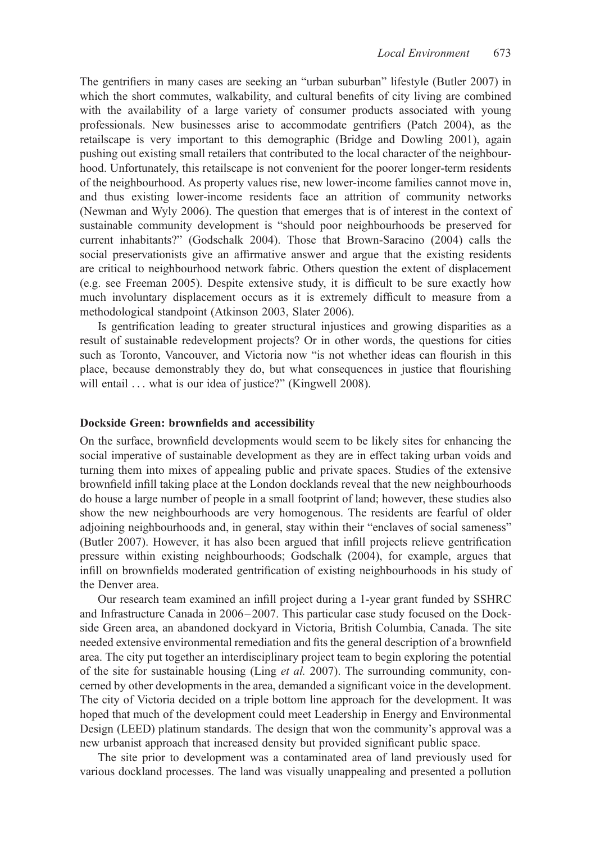The gentrifiers in many cases are seeking an "urban suburban" lifestyle (Butler 2007) in which the short commutes, walkability, and cultural benefits of city living are combined with the availability of a large variety of consumer products associated with young professionals. New businesses arise to accommodate gentrifiers (Patch 2004), as the retailscape is very important to this demographic (Bridge and Dowling 2001), again pushing out existing small retailers that contributed to the local character of the neighbourhood. Unfortunately, this retailscape is not convenient for the poorer longer-term residents of the neighbourhood. As property values rise, new lower-income families cannot move in, and thus existing lower-income residents face an attrition of community networks (Newman and Wyly 2006). The question that emerges that is of interest in the context of sustainable community development is "should poor neighbourhoods be preserved for current inhabitants?" (Godschalk 2004). Those that Brown-Saracino (2004) calls the social preservationists give an affirmative answer and argue that the existing residents are critical to neighbourhood network fabric. Others question the extent of displacement (e.g. see Freeman 2005). Despite extensive study, it is difficult to be sure exactly how much involuntary displacement occurs as it is extremely difficult to measure from a methodological standpoint (Atkinson 2003, Slater 2006).

Is gentrification leading to greater structural injustices and growing disparities as a result of sustainable redevelopment projects? Or in other words, the questions for cities such as Toronto, Vancouver, and Victoria now "is not whether ideas can flourish in this place, because demonstrably they do, but what consequences in justice that flourishing will entail ... what is our idea of justice?" (Kingwell 2008).

#### Dockside Green: brownfields and accessibility

On the surface, brownfield developments would seem to be likely sites for enhancing the social imperative of sustainable development as they are in effect taking urban voids and turning them into mixes of appealing public and private spaces. Studies of the extensive brownfield infill taking place at the London docklands reveal that the new neighbourhoods do house a large number of people in a small footprint of land; however, these studies also show the new neighbourhoods are very homogenous. The residents are fearful of older adjoining neighbourhoods and, in general, stay within their "enclaves of social sameness" (Butler 2007). However, it has also been argued that infill projects relieve gentrification pressure within existing neighbourhoods; Godschalk (2004), for example, argues that infill on brownfields moderated gentrification of existing neighbourhoods in his study of the Denver area.

Our research team examined an infill project during a 1-year grant funded by SSHRC and Infrastructure Canada in 2006– 2007. This particular case study focused on the Dockside Green area, an abandoned dockyard in Victoria, British Columbia, Canada. The site needed extensive environmental remediation and fits the general description of a brownfield area. The city put together an interdisciplinary project team to begin exploring the potential of the site for sustainable housing (Ling *et al.* 2007). The surrounding community, concerned by other developments in the area, demanded a significant voice in the development. The city of Victoria decided on a triple bottom line approach for the development. It was hoped that much of the development could meet Leadership in Energy and Environmental Design (LEED) platinum standards. The design that won the community's approval was a new urbanist approach that increased density but provided significant public space.

The site prior to development was a contaminated area of land previously used for various dockland processes. The land was visually unappealing and presented a pollution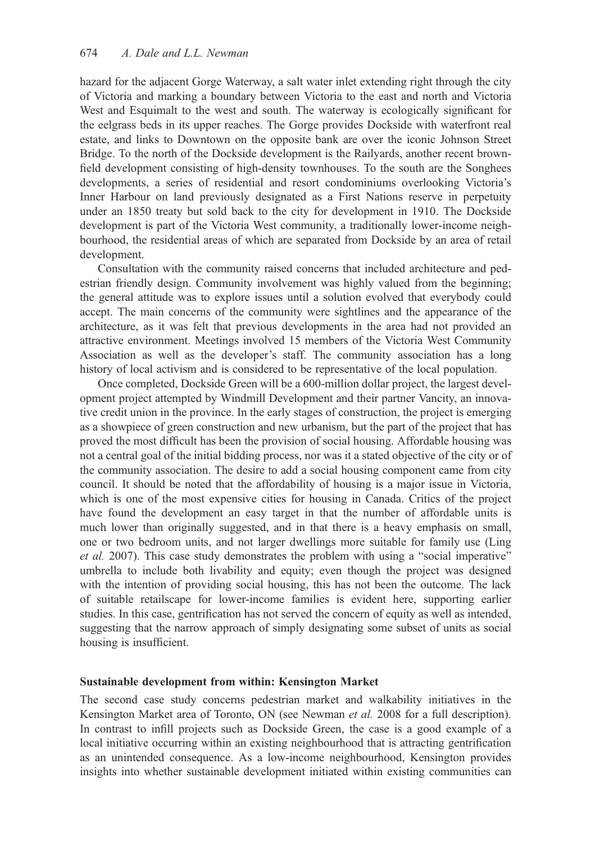hazard for the adjacent Gorge Waterway, a salt water inlet extending right through the city of Victoria and marking a boundary between Victoria to the east and north and Victoria West and Esquimalt to the west and south. The waterway is ecologically significant for the eelgrass beds in its upper reaches. The Gorge provides Dockside with waterfront real estate, and links to Downtown on the opposite bank are over the iconic Johnson Street Bridge. To the north of the Dockside development is the Railyards, another recent brownfield development consisting of high-density townhouses. To the south are the Songhees developments, a series of residential and resort condominiums overlooking Victoria's Inner Harbour on land previously designated as a First Nations reserve in perpetuity under an 1850 treaty but sold back to the city for development in 1910. The Dockside development is part of the Victoria West community, a traditionally lower-income neighbourhood, the residential areas of which are separated from Dockside by an area of retail development.

Consultation with the community raised concerns that included architecture and pedestrian friendly design. Community involvement was highly valued from the beginning; the general attitude was to explore issues until a solution evolved that everybody could accept. The main concerns of the community were sightlines and the appearance of the architecture, as it was felt that previous developments in the area had not provided an attractive environment. Meetings involved 15 members of the Victoria West Community Association as well as the developer's staff. The community association has a long history of local activism and is considered to be representative of the local population.

Once completed, Dockside Green will be a 600-million dollar project, the largest development project attempted by Windmill Development and their partner Vancity, an innovative credit union in the province. In the early stages of construction, the project is emerging as a showpiece of green construction and new urbanism, but the part of the project that has proved the most difficult has been the provision of social housing. Affordable housing was not a central goal of the initial bidding process, nor was it a stated objective of the city or of the community association. The desire to add a social housing component came from city council. It should be noted that the affordability of housing is a major issue in Victoria, which is one of the most expensive cities for housing in Canada. Critics of the project have found the development an easy target in that the number of affordable units is much lower than originally suggested, and in that there is a heavy emphasis on small, one or two bedroom units, and not larger dwellings more suitable for family use (Ling et al. 2007). This case study demonstrates the problem with using a "social imperative" umbrella to include both livability and equity; even though the project was designed with the intention of providing social housing, this has not been the outcome. The lack of suitable retailscape for lower-income families is evident here, supporting earlier studies. In this case, gentrification has not served the concern of equity as well as intended, suggesting that the narrow approach of simply designating some subset of units as social housing is insufficient.

#### Sustainable development from within: Kensington Market

The second case study concerns pedestrian market and walkability initiatives in the Kensington Market area of Toronto, ON (see Newman et al. 2008 for a full description). In contrast to infill projects such as Dockside Green, the case is a good example of a local initiative occurring within an existing neighbourhood that is attracting gentrification as an unintended consequence. As a low-income neighbourhood, Kensington provides insights into whether sustainable development initiated within existing communities can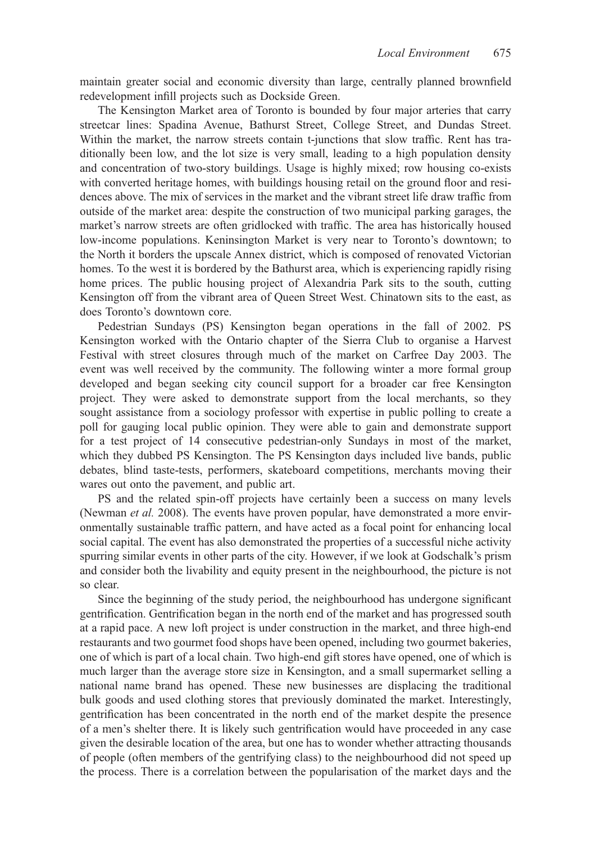maintain greater social and economic diversity than large, centrally planned brownfield redevelopment infill projects such as Dockside Green.

The Kensington Market area of Toronto is bounded by four major arteries that carry streetcar lines: Spadina Avenue, Bathurst Street, College Street, and Dundas Street. Within the market, the narrow streets contain t-junctions that slow traffic. Rent has traditionally been low, and the lot size is very small, leading to a high population density and concentration of two-story buildings. Usage is highly mixed; row housing co-exists with converted heritage homes, with buildings housing retail on the ground floor and residences above. The mix of services in the market and the vibrant street life draw traffic from outside of the market area: despite the construction of two municipal parking garages, the market's narrow streets are often gridlocked with traffic. The area has historically housed low-income populations. Keninsington Market is very near to Toronto's downtown; to the North it borders the upscale Annex district, which is composed of renovated Victorian homes. To the west it is bordered by the Bathurst area, which is experiencing rapidly rising home prices. The public housing project of Alexandria Park sits to the south, cutting Kensington off from the vibrant area of Queen Street West. Chinatown sits to the east, as does Toronto's downtown core.

Pedestrian Sundays (PS) Kensington began operations in the fall of 2002. PS Kensington worked with the Ontario chapter of the Sierra Club to organise a Harvest Festival with street closures through much of the market on Carfree Day 2003. The event was well received by the community. The following winter a more formal group developed and began seeking city council support for a broader car free Kensington project. They were asked to demonstrate support from the local merchants, so they sought assistance from a sociology professor with expertise in public polling to create a poll for gauging local public opinion. They were able to gain and demonstrate support for a test project of 14 consecutive pedestrian-only Sundays in most of the market, which they dubbed PS Kensington. The PS Kensington days included live bands, public debates, blind taste-tests, performers, skateboard competitions, merchants moving their wares out onto the pavement, and public art.

PS and the related spin-off projects have certainly been a success on many levels (Newman et al. 2008). The events have proven popular, have demonstrated a more environmentally sustainable traffic pattern, and have acted as a focal point for enhancing local social capital. The event has also demonstrated the properties of a successful niche activity spurring similar events in other parts of the city. However, if we look at Godschalk's prism and consider both the livability and equity present in the neighbourhood, the picture is not so clear.

Since the beginning of the study period, the neighbourhood has undergone significant gentrification. Gentrification began in the north end of the market and has progressed south at a rapid pace. A new loft project is under construction in the market, and three high-end restaurants and two gourmet food shops have been opened, including two gourmet bakeries, one of which is part of a local chain. Two high-end gift stores have opened, one of which is much larger than the average store size in Kensington, and a small supermarket selling a national name brand has opened. These new businesses are displacing the traditional bulk goods and used clothing stores that previously dominated the market. Interestingly, gentrification has been concentrated in the north end of the market despite the presence of a men's shelter there. It is likely such gentrification would have proceeded in any case given the desirable location of the area, but one has to wonder whether attracting thousands of people (often members of the gentrifying class) to the neighbourhood did not speed up the process. There is a correlation between the popularisation of the market days and the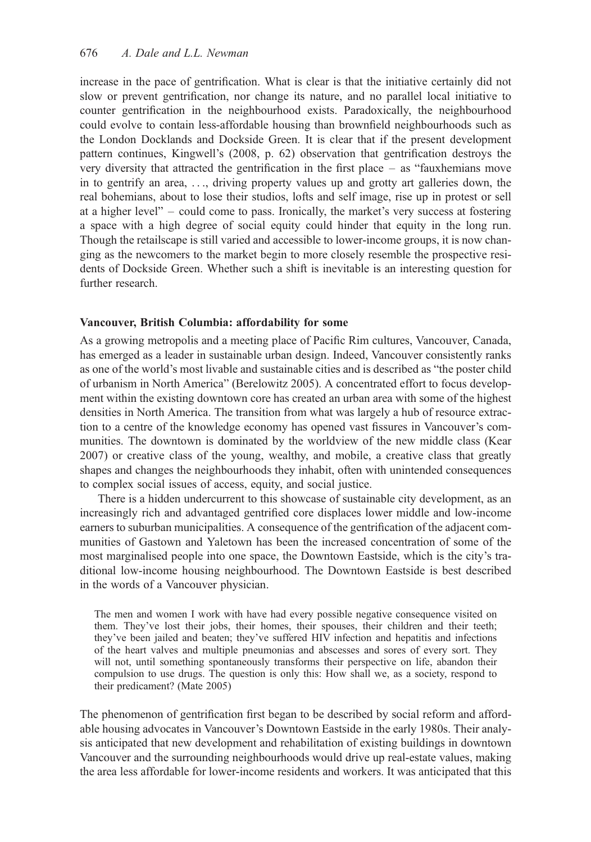increase in the pace of gentrification. What is clear is that the initiative certainly did not slow or prevent gentrification, nor change its nature, and no parallel local initiative to counter gentrification in the neighbourhood exists. Paradoxically, the neighbourhood could evolve to contain less-affordable housing than brownfield neighbourhoods such as the London Docklands and Dockside Green. It is clear that if the present development pattern continues, Kingwell's (2008, p. 62) observation that gentrification destroys the very diversity that attracted the gentrification in the first place – as "fauxhemians move in to gentrify an area, ..., driving property values up and grotty art galleries down, the real bohemians, about to lose their studios, lofts and self image, rise up in protest or sell at a higher level" – could come to pass. Ironically, the market's very success at fostering a space with a high degree of social equity could hinder that equity in the long run. Though the retailscape is still varied and accessible to lower-income groups, it is now changing as the newcomers to the market begin to more closely resemble the prospective residents of Dockside Green. Whether such a shift is inevitable is an interesting question for further research.

# Vancouver, British Columbia: affordability for some

As a growing metropolis and a meeting place of Pacific Rim cultures, Vancouver, Canada, has emerged as a leader in sustainable urban design. Indeed, Vancouver consistently ranks as one of the world's most livable and sustainable cities and is described as "the poster child of urbanism in North America" (Berelowitz 2005). A concentrated effort to focus development within the existing downtown core has created an urban area with some of the highest densities in North America. The transition from what was largely a hub of resource extraction to a centre of the knowledge economy has opened vast fissures in Vancouver's communities. The downtown is dominated by the worldview of the new middle class (Kear 2007) or creative class of the young, wealthy, and mobile, a creative class that greatly shapes and changes the neighbourhoods they inhabit, often with unintended consequences to complex social issues of access, equity, and social justice.

There is a hidden undercurrent to this showcase of sustainable city development, as an increasingly rich and advantaged gentrified core displaces lower middle and low-income earners to suburban municipalities. A consequence of the gentrification of the adjacent communities of Gastown and Yaletown has been the increased concentration of some of the most marginalised people into one space, the Downtown Eastside, which is the city's traditional low-income housing neighbourhood. The Downtown Eastside is best described in the words of a Vancouver physician.

The men and women I work with have had every possible negative consequence visited on them. They've lost their jobs, their homes, their spouses, their children and their teeth; they've been jailed and beaten; they've suffered HIV infection and hepatitis and infections of the heart valves and multiple pneumonias and abscesses and sores of every sort. They will not, until something spontaneously transforms their perspective on life, abandon their compulsion to use drugs. The question is only this: How shall we, as a society, respond to their predicament? (Mate 2005)

The phenomenon of gentrification first began to be described by social reform and affordable housing advocates in Vancouver's Downtown Eastside in the early 1980s. Their analysis anticipated that new development and rehabilitation of existing buildings in downtown Vancouver and the surrounding neighbourhoods would drive up real-estate values, making the area less affordable for lower-income residents and workers. It was anticipated that this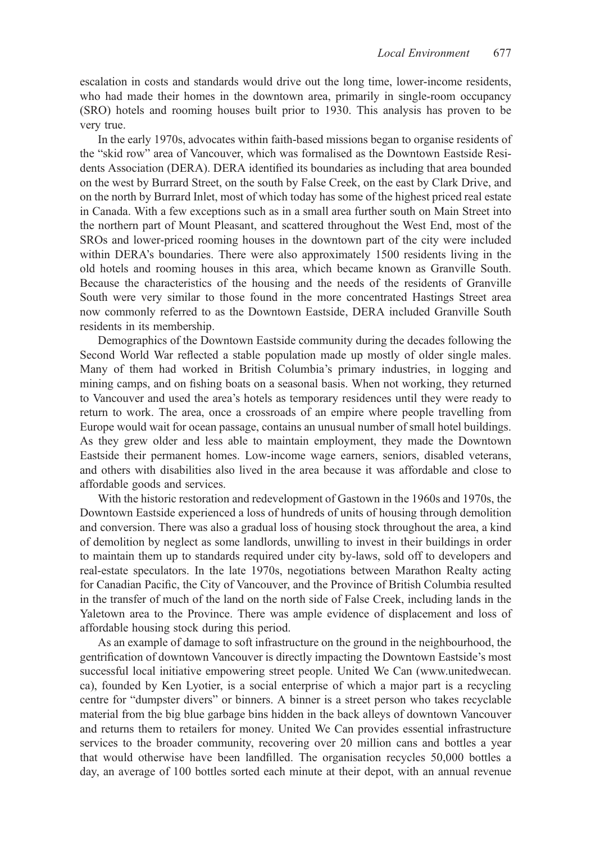escalation in costs and standards would drive out the long time, lower-income residents, who had made their homes in the downtown area, primarily in single-room occupancy (SRO) hotels and rooming houses built prior to 1930. This analysis has proven to be very true.

In the early 1970s, advocates within faith-based missions began to organise residents of the "skid row" area of Vancouver, which was formalised as the Downtown Eastside Residents Association (DERA). DERA identified its boundaries as including that area bounded on the west by Burrard Street, on the south by False Creek, on the east by Clark Drive, and on the north by Burrard Inlet, most of which today has some of the highest priced real estate in Canada. With a few exceptions such as in a small area further south on Main Street into the northern part of Mount Pleasant, and scattered throughout the West End, most of the SROs and lower-priced rooming houses in the downtown part of the city were included within DERA's boundaries. There were also approximately 1500 residents living in the old hotels and rooming houses in this area, which became known as Granville South. Because the characteristics of the housing and the needs of the residents of Granville South were very similar to those found in the more concentrated Hastings Street area now commonly referred to as the Downtown Eastside, DERA included Granville South residents in its membership.

Demographics of the Downtown Eastside community during the decades following the Second World War reflected a stable population made up mostly of older single males. Many of them had worked in British Columbia's primary industries, in logging and mining camps, and on fishing boats on a seasonal basis. When not working, they returned to Vancouver and used the area's hotels as temporary residences until they were ready to return to work. The area, once a crossroads of an empire where people travelling from Europe would wait for ocean passage, contains an unusual number of small hotel buildings. As they grew older and less able to maintain employment, they made the Downtown Eastside their permanent homes. Low-income wage earners, seniors, disabled veterans, and others with disabilities also lived in the area because it was affordable and close to affordable goods and services.

With the historic restoration and redevelopment of Gastown in the 1960s and 1970s, the Downtown Eastside experienced a loss of hundreds of units of housing through demolition and conversion. There was also a gradual loss of housing stock throughout the area, a kind of demolition by neglect as some landlords, unwilling to invest in their buildings in order to maintain them up to standards required under city by-laws, sold off to developers and real-estate speculators. In the late 1970s, negotiations between Marathon Realty acting for Canadian Pacific, the City of Vancouver, and the Province of British Columbia resulted in the transfer of much of the land on the north side of False Creek, including lands in the Yaletown area to the Province. There was ample evidence of displacement and loss of affordable housing stock during this period.

As an example of damage to soft infrastructure on the ground in the neighbourhood, the gentrification of downtown Vancouver is directly impacting the Downtown Eastside's most successful local initiative empowering street people. United We Can [\(www.unitedwecan.](www.unitedwecan.ca) [ca](www.unitedwecan.ca)), founded by Ken Lyotier, is a social enterprise of which a major part is a recycling centre for "dumpster divers" or binners. A binner is a street person who takes recyclable material from the big blue garbage bins hidden in the back alleys of downtown Vancouver and returns them to retailers for money. United We Can provides essential infrastructure services to the broader community, recovering over 20 million cans and bottles a year that would otherwise have been landfilled. The organisation recycles 50,000 bottles a day, an average of 100 bottles sorted each minute at their depot, with an annual revenue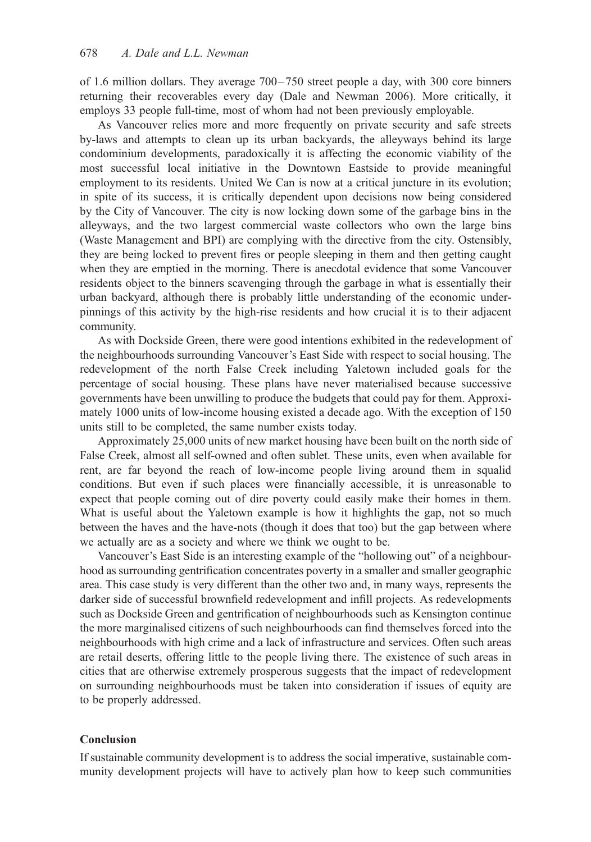of 1.6 million dollars. They average  $700 - 750$  street people a day, with 300 core binners returning their recoverables every day (Dale and Newman 2006). More critically, it employs 33 people full-time, most of whom had not been previously employable.

As Vancouver relies more and more frequently on private security and safe streets by-laws and attempts to clean up its urban backyards, the alleyways behind its large condominium developments, paradoxically it is affecting the economic viability of the most successful local initiative in the Downtown Eastside to provide meaningful employment to its residents. United We Can is now at a critical juncture in its evolution; in spite of its success, it is critically dependent upon decisions now being considered by the City of Vancouver. The city is now locking down some of the garbage bins in the alleyways, and the two largest commercial waste collectors who own the large bins (Waste Management and BPI) are complying with the directive from the city. Ostensibly, they are being locked to prevent fires or people sleeping in them and then getting caught when they are emptied in the morning. There is anecdotal evidence that some Vancouver residents object to the binners scavenging through the garbage in what is essentially their urban backyard, although there is probably little understanding of the economic underpinnings of this activity by the high-rise residents and how crucial it is to their adjacent community.

As with Dockside Green, there were good intentions exhibited in the redevelopment of the neighbourhoods surrounding Vancouver's East Side with respect to social housing. The redevelopment of the north False Creek including Yaletown included goals for the percentage of social housing. These plans have never materialised because successive governments have been unwilling to produce the budgets that could pay for them. Approximately 1000 units of low-income housing existed a decade ago. With the exception of 150 units still to be completed, the same number exists today.

Approximately 25,000 units of new market housing have been built on the north side of False Creek, almost all self-owned and often sublet. These units, even when available for rent, are far beyond the reach of low-income people living around them in squalid conditions. But even if such places were financially accessible, it is unreasonable to expect that people coming out of dire poverty could easily make their homes in them. What is useful about the Yaletown example is how it highlights the gap, not so much between the haves and the have-nots (though it does that too) but the gap between where we actually are as a society and where we think we ought to be.

Vancouver's East Side is an interesting example of the "hollowing out" of a neighbourhood as surrounding gentrification concentrates poverty in a smaller and smaller geographic area. This case study is very different than the other two and, in many ways, represents the darker side of successful brownfield redevelopment and infill projects. As redevelopments such as Dockside Green and gentrification of neighbourhoods such as Kensington continue the more marginalised citizens of such neighbourhoods can find themselves forced into the neighbourhoods with high crime and a lack of infrastructure and services. Often such areas are retail deserts, offering little to the people living there. The existence of such areas in cities that are otherwise extremely prosperous suggests that the impact of redevelopment on surrounding neighbourhoods must be taken into consideration if issues of equity are to be properly addressed.

## Conclusion

If sustainable community development is to address the social imperative, sustainable community development projects will have to actively plan how to keep such communities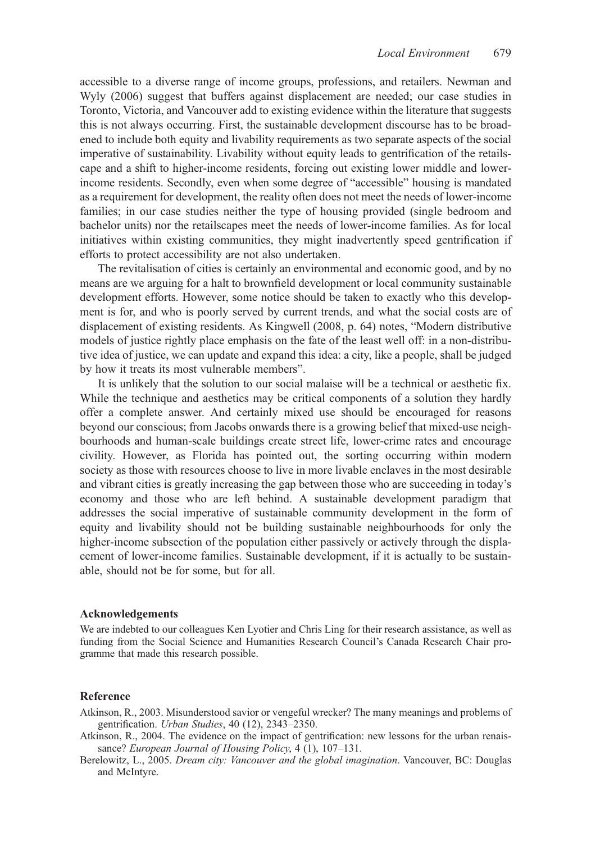accessible to a diverse range of income groups, professions, and retailers. Newman and Wyly (2006) suggest that buffers against displacement are needed; our case studies in Toronto, Victoria, and Vancouver add to existing evidence within the literature that suggests this is not always occurring. First, the sustainable development discourse has to be broadened to include both equity and livability requirements as two separate aspects of the social imperative of sustainability. Livability without equity leads to gentrification of the retailscape and a shift to higher-income residents, forcing out existing lower middle and lowerincome residents. Secondly, even when some degree of "accessible" housing is mandated as a requirement for development, the reality often does not meet the needs of lower-income families; in our case studies neither the type of housing provided (single bedroom and bachelor units) nor the retailscapes meet the needs of lower-income families. As for local initiatives within existing communities, they might inadvertently speed gentrification if efforts to protect accessibility are not also undertaken.

The revitalisation of cities is certainly an environmental and economic good, and by no means are we arguing for a halt to brownfield development or local community sustainable development efforts. However, some notice should be taken to exactly who this development is for, and who is poorly served by current trends, and what the social costs are of displacement of existing residents. As Kingwell (2008, p. 64) notes, "Modern distributive models of justice rightly place emphasis on the fate of the least well off: in a non-distributive idea of justice, we can update and expand this idea: a city, like a people, shall be judged by how it treats its most vulnerable members".

It is unlikely that the solution to our social malaise will be a technical or aesthetic fix. While the technique and aesthetics may be critical components of a solution they hardly offer a complete answer. And certainly mixed use should be encouraged for reasons beyond our conscious; from Jacobs onwards there is a growing belief that mixed-use neighbourhoods and human-scale buildings create street life, lower-crime rates and encourage civility. However, as Florida has pointed out, the sorting occurring within modern society as those with resources choose to live in more livable enclaves in the most desirable and vibrant cities is greatly increasing the gap between those who are succeeding in today's economy and those who are left behind. A sustainable development paradigm that addresses the social imperative of sustainable community development in the form of equity and livability should not be building sustainable neighbourhoods for only the higher-income subsection of the population either passively or actively through the displacement of lower-income families. Sustainable development, if it is actually to be sustainable, should not be for some, but for all.

#### Acknowledgements

We are indebted to our colleagues Ken Lyotier and Chris Ling for their research assistance, as well as funding from the Social Science and Humanities Research Council's Canada Research Chair programme that made this research possible.

#### Reference

- Atkinson, R., 2003. Misunderstood savior or vengeful wrecker? The many meanings and problems of gentrification. Urban Studies, 40 (12), 2343–2350.
- Atkinson, R., 2004. The evidence on the impact of gentrification: new lessons for the urban renaissance? European Journal of Housing Policy, 4 (1), 107-131.
- Berelowitz, L., 2005. Dream city: Vancouver and the global imagination. Vancouver, BC: Douglas and McIntyre.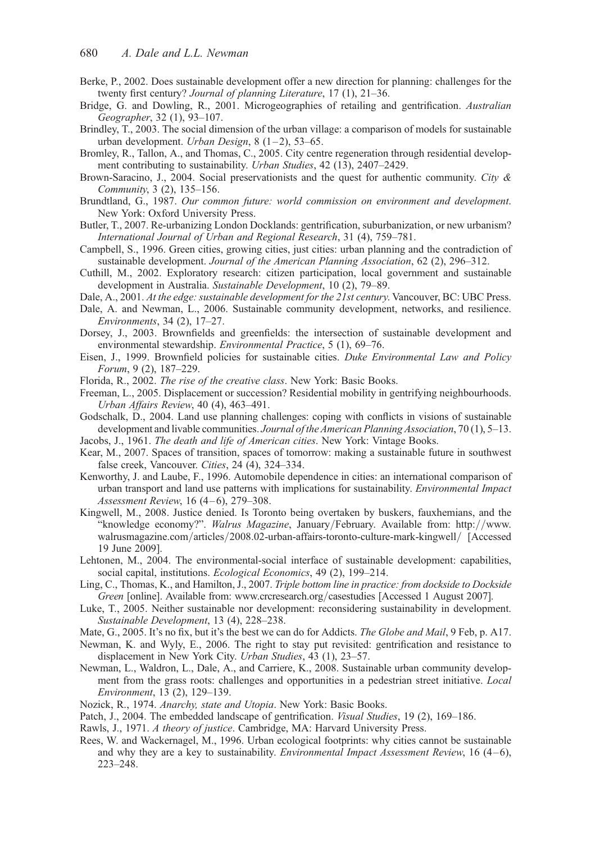- Berke, P., 2002. Does sustainable development offer a new direction for planning: challenges for the twenty first century? Journal of planning Literature, 17 (1), 21–36.
- Bridge, G. and Dowling, R., 2001. Microgeographies of retailing and gentrification. Australian Geographer, 32 (1), 93–107.
- Brindley, T., 2003. The social dimension of the urban village: a comparison of models for sustainable urban development. Urban Design,  $8(1-2)$ , 53-65.
- Bromley, R., Tallon, A., and Thomas, C., 2005. City centre regeneration through residential development contributing to sustainability. Urban Studies, 42 (13), 2407–2429.
- Brown-Saracino, J., 2004. Social preservationists and the quest for authentic community. City & Community, 3 (2), 135–156.
- Brundtland, G., 1987. Our common future: world commission on environment and development. New York: Oxford University Press.
- Butler, T., 2007. Re-urbanizing London Docklands: gentrification, suburbanization, or new urbanism? International Journal of Urban and Regional Research, 31 (4), 759–781.
- Campbell, S., 1996. Green cities, growing cities, just cities: urban planning and the contradiction of sustainable development. Journal of the American Planning Association, 62 (2), 296–312.
- Cuthill, M., 2002. Exploratory research: citizen participation, local government and sustainable development in Australia. Sustainable Development, 10 (2), 79–89.
- Dale, A., 2001. At the edge: sustainable development for the 21st century. Vancouver, BC: UBC Press.
- Dale, A. and Newman, L., 2006. Sustainable community development, networks, and resilience. Environments, 34 (2), 17–27.
- Dorsey, J., 2003. Brownfields and greenfields: the intersection of sustainable development and environmental stewardship. Environmental Practice, 5 (1), 69–76.
- Eisen, J., 1999. Brownfield policies for sustainable cities. Duke Environmental Law and Policy Forum, 9 (2), 187–229.
- Florida, R., 2002. The rise of the creative class. New York: Basic Books.
- Freeman, L., 2005. Displacement or succession? Residential mobility in gentrifying neighbourhoods. Urban Affairs Review, 40 (4), 463–491.
- Godschalk, D., 2004. Land use planning challenges: coping with conflicts in visions of sustainable development and livable communities. Journal of the American Planning Association, 70 (1), 5–13.
- Jacobs, J., 1961. The death and life of American cities. New York: Vintage Books.
- Kear, M., 2007. Spaces of transition, spaces of tomorrow: making a sustainable future in southwest false creek, Vancouver. Cities, 24 (4), 324-334.
- Kenworthy, J. and Laube, F., 1996. Automobile dependence in cities: an international comparison of urban transport and land use patterns with implications for sustainability. Environmental Impact Assessment Review, 16 (4–6), 279–308.
- Kingwell, M., 2008. Justice denied. Is Toronto being overtaken by buskers, fauxhemians, and the "knowledge economy?". Walrus Magazine, January/February. Available from: http://[www.](http://www.walrusmagazine.com/articles/2008.02-urban-affairs-toronto-culture-mark-kingwell/) walrusmagazine.com/articles/[2008.02-urban-affairs-toronto-culture-mark-kingwell](http://www.walrusmagazine.com/articles/2008.02-urban-affairs-toronto-culture-mark-kingwell/)/ [Accessed 19 June 2009].
- Lehtonen, M., 2004. The environmental-social interface of sustainable development: capabilities, social capital, institutions. Ecological Economics, 49 (2), 199-214.
- Ling, C., Thomas, K., and Hamilton, J., 2007. Triple bottom line in practice: from dockside to Dockside Green [online]. Available from: [www.crcresearch.org](www.crcresearch.org/casestudies)/casestudies [Accessed 1 August 2007].
- Luke, T., 2005. Neither sustainable nor development: reconsidering sustainability in development. Sustainable Development, 13 (4), 228–238.
- Mate, G., 2005. It's no fix, but it's the best we can do for Addicts. The Globe and Mail, 9 Feb, p. A17.
- Newman, K. and Wyly, E., 2006. The right to stay put revisited: gentrification and resistance to displacement in New York City. Urban Studies, 43 (1), 23–57.
- Newman, L., Waldron, L., Dale, A., and Carriere, K., 2008. Sustainable urban community development from the grass roots: challenges and opportunities in a pedestrian street initiative. Local Environment, 13 (2), 129–139.
- Nozick, R., 1974. Anarchy, state and Utopia. New York: Basic Books.
- Patch, J., 2004. The embedded landscape of gentrification. Visual Studies, 19 (2), 169–186.
- Rawls, J., 1971. A theory of justice. Cambridge, MA: Harvard University Press.
- Rees, W. and Wackernagel, M., 1996. Urban ecological footprints: why cities cannot be sustainable and why they are a key to sustainability. *Environmental Impact Assessment Review*, 16  $(4-6)$ , 223–248.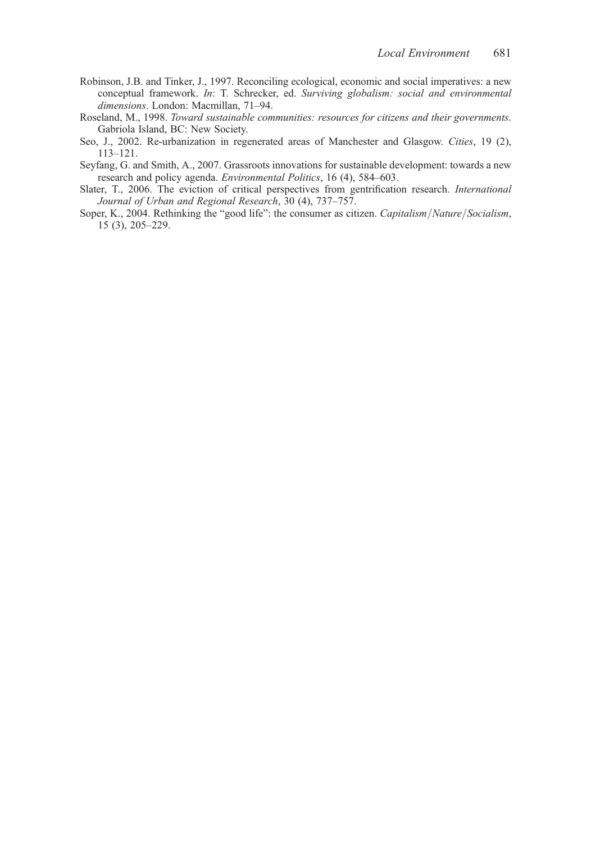- Robinson, J.B. and Tinker, J., 1997. Reconciling ecological, economic and social imperatives: a new conceptual framework. In: T. Schrecker, ed. Surviving globalism: social and environmental dimensions. London: Macmillan, 71–94.
- Roseland, M., 1998. Toward sustainable communities: resources for citizens and their governments. Gabriola Island, BC: New Society.
- Seo, J., 2002. Re-urbanization in regenerated areas of Manchester and Glasgow. Cities, 19 (2), 113–121.
- Seyfang, G. and Smith, A., 2007. Grassroots innovations for sustainable development: towards a new research and policy agenda. Environmental Politics, 16 (4), 584–603.
- Slater, T., 2006. The eviction of critical perspectives from gentrification research. International Journal of Urban and Regional Research, 30 (4), 737–757.
- Soper, K., 2004. Rethinking the "good life": the consumer as citizen. Capitalism/Nature/Socialism, 15 (3), 205–229.